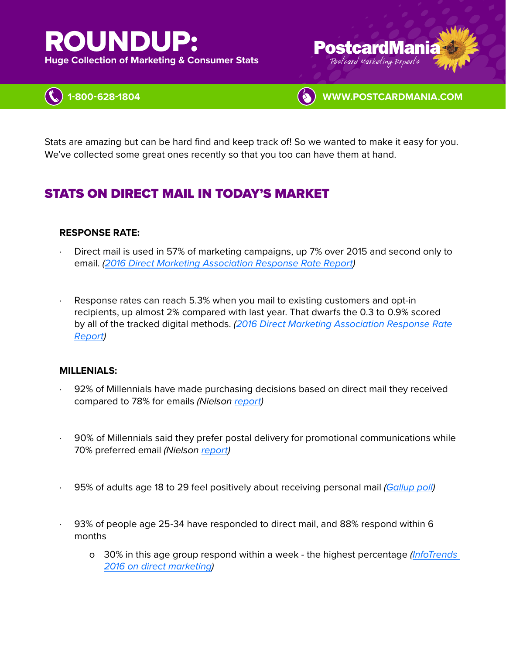# ROUNDUP:

**Huge Collection of Marketing & Consumer Stats** 







Stats are amazing but can be hard find and keep track of! So we wanted to make it easy for you. We've collected some great ones recently so that you too can have them at hand.

# STATS ON DIRECT MAIL IN TODAY'S MARKET

## **RESPONSE RATE:**

- Direct mail is used in 57% of marketing campaigns, up 7% over 2015 and second only to email. *([2016 Direct Marketing Association Response Rate Report](https://thedma.org/marketing-insights/response-rate-report/))*
- Response rates can reach 5.3% when you mail to existing customers and opt-in recipients, up almost 2% compared with last year. That dwarfs the 0.3 to 0.9% scored by all of the tracked digital methods. *([2016 Direct Marketing Association Response Rate](https://thedma.org/marketing-insights/response-rate-report/)  [Report](https://thedma.org/marketing-insights/response-rate-report/))*

#### **MILLENIALS:**

- 92% of Millennials have made purchasing decisions based on direct mail they received compared to 78% for emails *(Nielson [report\)](https://www.marketingcharts.com/industries/retail-and-e-commerce-20395)*
- · 90% of Millennials said they prefer postal delivery for promotional communications while 70% preferred email *(Nielson [report\)](https://www.marketingcharts.com/industries/retail-and-e-commerce-20395)*
- · 95% of adults age 18 to 29 feel positively about receiving personal mail *[\(Gallup poll\)](http://news.gallup.com/poll/182261/four-americans-look-forward-checking-mail.aspx)*
- · 93% of people age 25-34 have responded to direct mail, and 88% respond within 6 months
	- o 30% in this age group respond within a week the highest percentage *[\(InfoTrends](http://blog.infotrends.com/?p=21647)  [2016 on direct marketing](http://blog.infotrends.com/?p=21647))*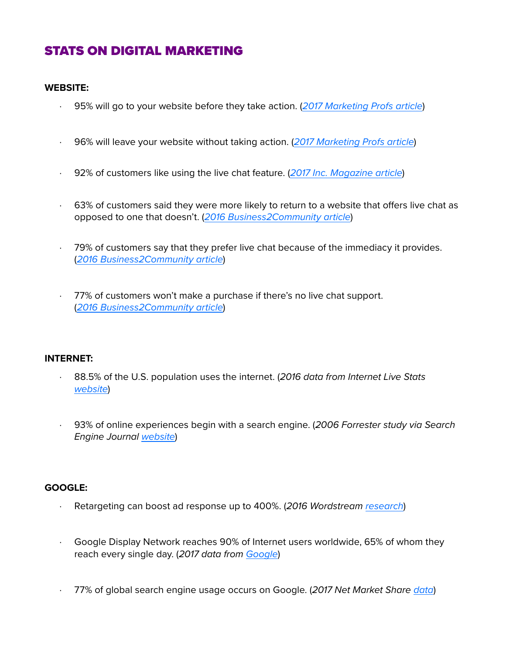# STATS ON DIGITAL MARKETING

#### **WEBSITE:**

- · 95% will go to your website before they take action. (*[2017 Marketing Profs article](https://www.marketingprofs.com/chirp/2017/32948/direct-mail-how-to-succeed-in-a-digital-era-infographic)*)
- · 96% will leave your website without taking action. (*[2017 Marketing Profs article](https://www.marketingprofs.com/chirp/2017/32948/direct-mail-how-to-succeed-in-a-digital-era-infographic)*)
- · 92% of customers like using the live chat feature. (*[2017 Inc. Magazine article](https://www.inc.com/nicolas-cole/the-power-of-live-chat-5-surprising-statistics-that-show-how-consumers-want-thei.html)*)
- · 63% of customers said they were more likely to return to a website that offers live chat as opposed to one that doesn't. (*[2016 Business2Community article](https://www.business2community.com/customer-experience/8-essential-live-chat-customer-support-statistics-01437524)*)
- · 79% of customers say that they prefer live chat because of the immediacy it provides. (*[2016 Business2Community article](https://www.business2community.com/customer-experience/8-essential-live-chat-customer-support-statistics-01437524)*)
- 77% of customers won't make a purchase if there's no live chat support. (*[2016 Business2Community article](https://www.business2community.com/customer-experience/8-essential-live-chat-customer-support-statistics-01437524)*)

#### **INTERNET:**

- · 88.5% of the U.S. population uses the internet. (*2016 data from Internet Live Stats [website](http://www.internetlivestats.com/internet-users/us/)*)
- · 93% of online experiences begin with a search engine. (*2006 Forrester study via Search Engine Journal [website](https://www.searchenginejournal.com/10-stats-to-justify-seo/36762/)*)

#### **GOOGLE:**

- · Retargeting can boost ad response up to [400%.](http://www.adready.com/site/dl/AdReady_White_Paper_Retargeting.pdf) (*2016 Wordstream [research](https://www.wordstream.com/blog/ws/2015/10/21/shopping-remarketing-lists)*)
- Google Display Network reaches 90% of Internet users worldwide, 65% of whom they reach every single day. (*2017 data from [Google](https://www.wordstream.com/blog/ws/2015/10/01/remarketing-facts)*)
- · 77% of global search engine usage occurs on Google. (*2017 Net Market Share [data](https://www.smartinsights.com/search-engine-marketing/search-engine-statistics/)*)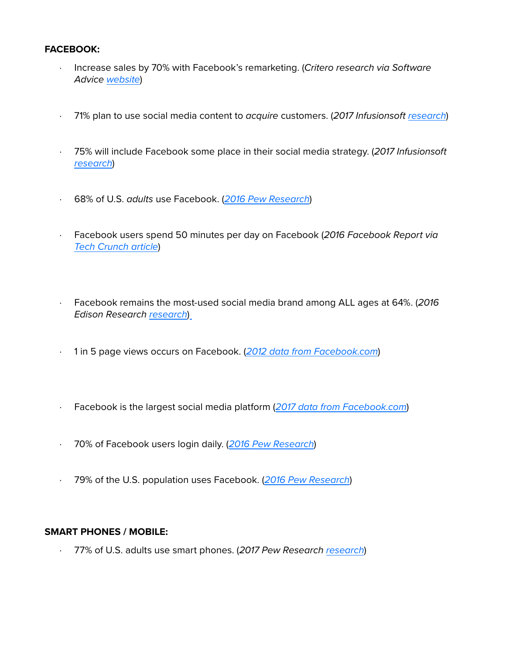## **FACEBOOK:**

- · Increase sales by 70% with Facebook's remarketing. (*Critero research via Software Advice [website](https://www.softwareadvice.com/resources/5-lessons-learned-site-retargeting/)*)
- · 71% plan to use social media content to *acquire* customers. (*2017 Infusionsoft [research](https://learn.infusionsoft.com/marketing/digital-marketing/trends-report-infographic)*)
- · 75% will include Facebook some place in their social media strategy. (*2017 Infusionsoft [research](https://learn.infusionsoft.com/marketing/digital-marketing/trends-report-infographic)*)
- · 68% of U.S. *adults* use Facebook. (*[2016 Pew Research](http://www.pewinternet.org/2016/11/11/social-media-update-2016/)*)
- · Facebook users spend 50 minutes per day on Facebook (*2016 Facebook Report via [Tech Crunch article](https://techcrunch.com/2016/04/27/facediction/)*)
- · Facebook remains the most-used social media brand among ALL ages at 64%. (*2016 Edison Research [research](http://www.edisonresearch.com/the-infinite-dial-2016/)*)
- · 1 in 5 page views occurs on Facebook. (*[2012 data from Facebook.com](http://www.infodocket.com/2012/05/16/fast-facts-and-stats-about-facebook-may-2012/)*)
- · Facebook is the largest social media platform (*[2017 data from Facebook.com](http://www.infodocket.com/2012/05/16/fast-facts-and-stats-about-facebook-may-2012/)*)
- · 70% of Facebook users login daily. (*[2016 Pew Research](http://www.pewinternet.org/2016/11/11/social-media-update-2016/)*)
- · 79% of the U.S. population uses Facebook. (*[2016 Pew Research](http://www.pewinternet.org/2016/11/11/social-media-update-2016/)*)

# **SMART PHONES / MOBILE:**

· 77% of U.S. adults use smart phones. (*2017 Pew Research [research](http://www.pewresearch.org/fact-tank/2017/06/28/10-facts-about-smartphones/)*)